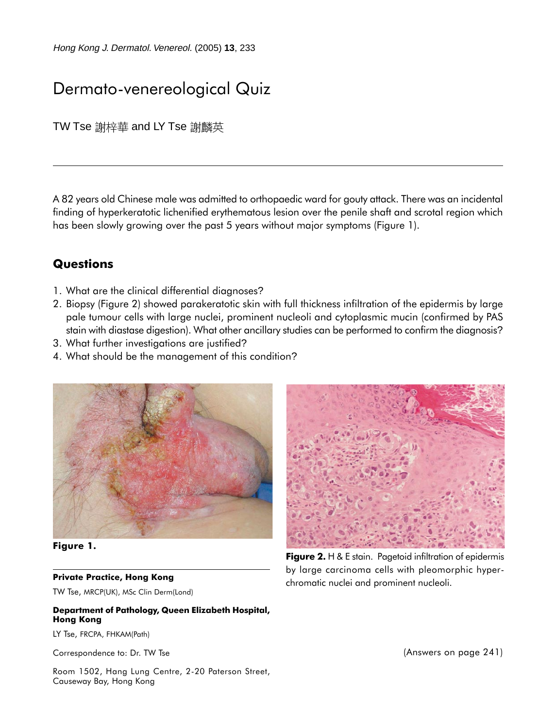Hong Kong J. Dermatol. Venereol. (2005) **13**, 233

# Dermato-venereological Quiz

TW Tse 謝梓華 and LY Tse 謝麟英

A 82 years old Chinese male was admitted to orthopaedic ward for gouty attack. There was an incidental finding of hyperkeratotic lichenified erythematous lesion over the penile shaft and scrotal region which has been slowly growing over the past 5 years without major symptoms (Figure 1).

### **Questions**

- 1. What are the clinical differential diagnoses?
- 2. Biopsy (Figure 2) showed parakeratotic skin with full thickness infiltration of the epidermis by large pale tumour cells with large nuclei, prominent nucleoli and cytoplasmic mucin (confirmed by PAS stain with diastase digestion). What other ancillary studies can be performed to confirm the diagnosis?
- 3. What further investigations are justified?
- 4. What should be the management of this condition?



**Figure 1.**

#### **Private Practice, Hong Kong**

TW Tse, MRCP(UK), MSc Clin Derm(Lond)

#### **Department of Pathology, Queen Elizabeth Hospital, Hong Kong**

LY Tse, FRCPA, FHKAM(Path)

Correspondence to: Dr. TW Tse

Room 1502, Hang Lung Centre, 2-20 Paterson Street, Causeway Bay, Hong Kong



**Figure 2.** H & E stain. Pagetoid infiltration of epidermis by large carcinoma cells with pleomorphic hyperchromatic nuclei and prominent nucleoli.